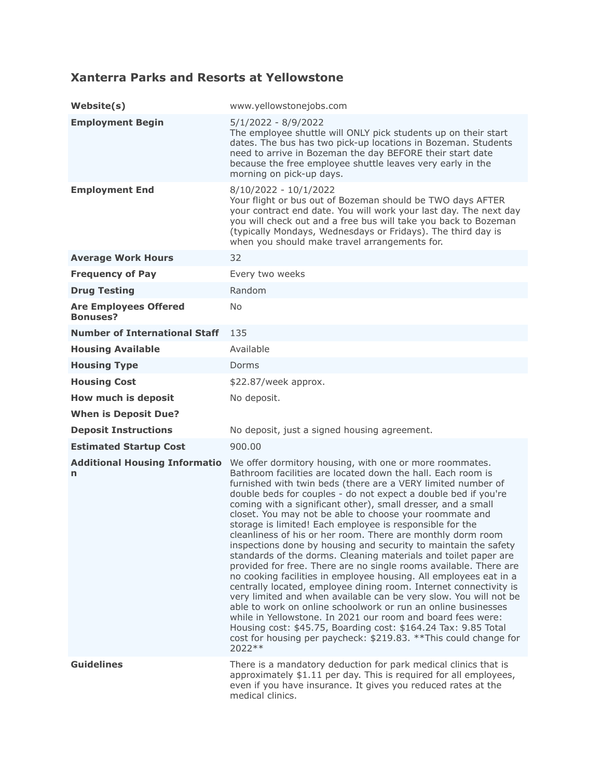## **Xanterra Parks and Resorts at Yellowstone**

| Website(s)                                      | www.yellowstonejobs.com                                                                                                                                                                                                                                                                                                                                                                                                                                                                                                                                                                                                                                                                                                                                                                                                                                                                                                                                                                                                                                                                                                                                                                                                    |
|-------------------------------------------------|----------------------------------------------------------------------------------------------------------------------------------------------------------------------------------------------------------------------------------------------------------------------------------------------------------------------------------------------------------------------------------------------------------------------------------------------------------------------------------------------------------------------------------------------------------------------------------------------------------------------------------------------------------------------------------------------------------------------------------------------------------------------------------------------------------------------------------------------------------------------------------------------------------------------------------------------------------------------------------------------------------------------------------------------------------------------------------------------------------------------------------------------------------------------------------------------------------------------------|
| <b>Employment Begin</b>                         | 5/1/2022 - 8/9/2022<br>The employee shuttle will ONLY pick students up on their start<br>dates. The bus has two pick-up locations in Bozeman. Students<br>need to arrive in Bozeman the day BEFORE their start date<br>because the free employee shuttle leaves very early in the<br>morning on pick-up days.                                                                                                                                                                                                                                                                                                                                                                                                                                                                                                                                                                                                                                                                                                                                                                                                                                                                                                              |
| <b>Employment End</b>                           | $8/10/2022 - 10/1/2022$<br>Your flight or bus out of Bozeman should be TWO days AFTER<br>your contract end date. You will work your last day. The next day<br>you will check out and a free bus will take you back to Bozeman<br>(typically Mondays, Wednesdays or Fridays). The third day is<br>when you should make travel arrangements for.                                                                                                                                                                                                                                                                                                                                                                                                                                                                                                                                                                                                                                                                                                                                                                                                                                                                             |
| <b>Average Work Hours</b>                       | 32                                                                                                                                                                                                                                                                                                                                                                                                                                                                                                                                                                                                                                                                                                                                                                                                                                                                                                                                                                                                                                                                                                                                                                                                                         |
| <b>Frequency of Pay</b>                         | Every two weeks                                                                                                                                                                                                                                                                                                                                                                                                                                                                                                                                                                                                                                                                                                                                                                                                                                                                                                                                                                                                                                                                                                                                                                                                            |
| <b>Drug Testing</b>                             | Random                                                                                                                                                                                                                                                                                                                                                                                                                                                                                                                                                                                                                                                                                                                                                                                                                                                                                                                                                                                                                                                                                                                                                                                                                     |
| <b>Are Employees Offered</b><br><b>Bonuses?</b> | No                                                                                                                                                                                                                                                                                                                                                                                                                                                                                                                                                                                                                                                                                                                                                                                                                                                                                                                                                                                                                                                                                                                                                                                                                         |
| <b>Number of International Staff</b>            | 135                                                                                                                                                                                                                                                                                                                                                                                                                                                                                                                                                                                                                                                                                                                                                                                                                                                                                                                                                                                                                                                                                                                                                                                                                        |
| <b>Housing Available</b>                        | Available                                                                                                                                                                                                                                                                                                                                                                                                                                                                                                                                                                                                                                                                                                                                                                                                                                                                                                                                                                                                                                                                                                                                                                                                                  |
| <b>Housing Type</b>                             | Dorms                                                                                                                                                                                                                                                                                                                                                                                                                                                                                                                                                                                                                                                                                                                                                                                                                                                                                                                                                                                                                                                                                                                                                                                                                      |
| <b>Housing Cost</b>                             | \$22.87/week approx.                                                                                                                                                                                                                                                                                                                                                                                                                                                                                                                                                                                                                                                                                                                                                                                                                                                                                                                                                                                                                                                                                                                                                                                                       |
| How much is deposit                             | No deposit.                                                                                                                                                                                                                                                                                                                                                                                                                                                                                                                                                                                                                                                                                                                                                                                                                                                                                                                                                                                                                                                                                                                                                                                                                |
| <b>When is Deposit Due?</b>                     |                                                                                                                                                                                                                                                                                                                                                                                                                                                                                                                                                                                                                                                                                                                                                                                                                                                                                                                                                                                                                                                                                                                                                                                                                            |
| <b>Deposit Instructions</b>                     | No deposit, just a signed housing agreement.                                                                                                                                                                                                                                                                                                                                                                                                                                                                                                                                                                                                                                                                                                                                                                                                                                                                                                                                                                                                                                                                                                                                                                               |
| <b>Estimated Startup Cost</b>                   | 900.00                                                                                                                                                                                                                                                                                                                                                                                                                                                                                                                                                                                                                                                                                                                                                                                                                                                                                                                                                                                                                                                                                                                                                                                                                     |
| <b>Additional Housing Informatio</b><br>n       | We offer dormitory housing, with one or more roommates.<br>Bathroom facilities are located down the hall. Each room is<br>furnished with twin beds (there are a VERY limited number of<br>double beds for couples - do not expect a double bed if you're<br>coming with a significant other), small dresser, and a small<br>closet. You may not be able to choose your roommate and<br>storage is limited! Each employee is responsible for the<br>cleanliness of his or her room. There are monthly dorm room<br>inspections done by housing and security to maintain the safety<br>standards of the dorms. Cleaning materials and toilet paper are<br>provided for free. There are no single rooms available. There are<br>no cooking facilities in employee housing. All employees eat in a<br>centrally located, employee dining room. Internet connectivity is<br>very limited and when available can be very slow. You will not be<br>able to work on online schoolwork or run an online businesses<br>while in Yellowstone. In 2021 our room and board fees were:<br>Housing cost: \$45.75, Boarding cost: \$164.24 Tax: 9.85 Total<br>cost for housing per paycheck: \$219.83. ** This could change for<br>2022 ** |
| <b>Guidelines</b>                               | There is a mandatory deduction for park medical clinics that is<br>approximately \$1.11 per day. This is required for all employees,<br>even if you have insurance. It gives you reduced rates at the<br>medical clinics.                                                                                                                                                                                                                                                                                                                                                                                                                                                                                                                                                                                                                                                                                                                                                                                                                                                                                                                                                                                                  |